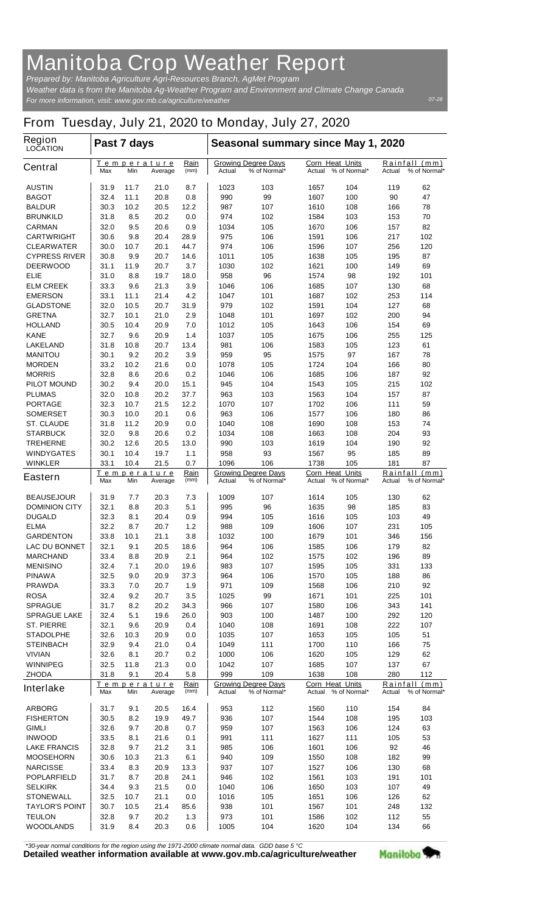## **Manitoba Crop Weather Report**

*For more information, visit: www.gov.mb.ca/agriculture/weather Prepared by: Manitoba Agriculture Agri-Resources Branch, AgMet Program Weather data is from the Manitoba Ag-Weather Program and Environment and Climate Change Canada*

## **From Tuesday, July 21, 2020 to Monday, July 27, 2020**

| Region<br><b>LOCATION</b>          | Past 7 days                                          |              |                               |                     | Seasonal summary since May 1, 2020                   |                                            |                                                  |                                            |                                                   |           |  |
|------------------------------------|------------------------------------------------------|--------------|-------------------------------|---------------------|------------------------------------------------------|--------------------------------------------|--------------------------------------------------|--------------------------------------------|---------------------------------------------------|-----------|--|
| <b>Central</b>                     | Max                                                  | Min          | <u>Temperature</u><br>Average | <u>Rain</u><br>(mm) | <b>Growing Degree Days</b><br>% of Normal*<br>Actual |                                            | <b>Corn Heat Units</b><br>% of Normal*<br>Actual |                                            | <u>Rainfall</u><br>(mm)<br>% of Normal*<br>Actual |           |  |
| <b>AUSTIN</b>                      | 31.9                                                 | 11.7         | 21.0                          | 8.7                 | 1023                                                 | 103                                        | 1657                                             | 104                                        | 119                                               | 62        |  |
| <b>BAGOT</b>                       | 32.4                                                 | 11.1         | 20.8                          | 0.8                 | 990                                                  | 99                                         | 1607                                             | 100                                        | 90                                                | 47        |  |
| <b>BALDUR</b>                      | 30.3                                                 | 10.2         | 20.5                          | 12.2                | 987                                                  | 107                                        | 1610                                             | 108                                        | 166                                               | 78        |  |
| <b>BRUNKILD</b>                    | 31.8                                                 | 8.5          | 20.2                          | 0.0                 | 974                                                  | 102                                        | 1584                                             | 103                                        | 153                                               | 70        |  |
| <b>CARMAN</b>                      | 32.0                                                 | 9.5          | 20.6                          | 0.9                 | 1034                                                 | 105                                        | 1670                                             | 106                                        | 157                                               | 82        |  |
| <b>CARTWRIGHT</b>                  | 30.6                                                 | 9.8          | 20.4                          | 28.9                | 975                                                  | 106                                        | 1591                                             | 106                                        | 217                                               | 102       |  |
| <b>CLEARWATER</b>                  | 30.0                                                 | 10.7         | 20.1                          | 44.7                | 974                                                  | 106                                        | 1596                                             | 107                                        | 256                                               | 120       |  |
| <b>CYPRESS RIVER</b>               | 30.8                                                 | 9.9          | 20.7                          | 14.6                | 1011                                                 | 105                                        | 1638                                             | 105                                        | 195                                               | 87        |  |
| <b>DEERWOOD</b>                    | 31.1                                                 | 11.9         | 20.7                          | 3.7                 | 1030                                                 | 102                                        | 1621                                             | 100                                        | 149                                               | 69        |  |
| <b>ELIE</b>                        | 31.0                                                 | 8.8          | 19.7                          | 18.0                | 958                                                  | 96                                         | 1574                                             | 98                                         | 192                                               | 101       |  |
| <b>ELM CREEK</b>                   | 33.3                                                 | 9.6          | 21.3                          | 3.9                 | 1046                                                 | 106                                        | 1685                                             | 107                                        | 130                                               | 68        |  |
| <b>EMERSON</b><br><b>GLADSTONE</b> | 33.1<br>32.0                                         | 11.1<br>10.5 | 21.4<br>20.7                  | 4.2<br>31.9         | 1047<br>979                                          | 101<br>102                                 | 1687<br>1591                                     | 102<br>104                                 | 253<br>127                                        | 114<br>68 |  |
| <b>GRETNA</b>                      | 32.7                                                 | 10.1         | 21.0                          | 2.9                 | 1048                                                 | 101                                        | 1697                                             | 102                                        | 200                                               | 94        |  |
| <b>HOLLAND</b>                     | 30.5                                                 | 10.4         | 20.9                          | 7.0                 | 1012                                                 | 105                                        | 1643                                             | 106                                        | 154                                               | 69        |  |
| <b>KANE</b>                        | 32.7                                                 | 9.6          | 20.9                          | 1.4                 | 1037                                                 | 105                                        | 1675                                             | 106                                        | 255                                               | 125       |  |
| <b>LAKELAND</b>                    | 31.8                                                 | 10.8         | 20.7                          | 13.4                | 981                                                  | 106                                        | 1583                                             | 105                                        | 123                                               | 61        |  |
| <b>MANITOU</b>                     | 30.1                                                 | 9.2          | 20.2                          | 3.9                 | 959                                                  | 95                                         | 1575                                             | 97                                         | 167                                               | 78        |  |
| <b>MORDEN</b>                      | 33.2                                                 | 10.2         | 21.6                          | 0.0                 | 1078                                                 | 105                                        | 1724                                             | 104                                        | 166                                               | 80        |  |
| <b>MORRIS</b>                      | 32.8                                                 | 8.6          | 20.6                          | 0.2                 | 1046                                                 | 106                                        | 1685                                             | 106                                        | 187                                               | 92        |  |
| <b>PILOT MOUND</b>                 | 30.2                                                 | 9.4          | 20.0                          | 15.1                | 945                                                  | 104                                        | 1543                                             | 105                                        | 215                                               | 102       |  |
| <b>PLUMAS</b>                      | 32.0                                                 | 10.8         | 20.2                          | 37.7                | 963                                                  | 103                                        | 1563                                             | 104                                        | 157                                               | 87        |  |
| <b>PORTAGE</b>                     | 32.3                                                 | 10.7         | 21.5                          | 12.2                | 1070                                                 | 107                                        | 1702                                             | 106                                        | 111                                               | 59        |  |
| <b>SOMERSET</b>                    | 30.3                                                 | 10.0         | 20.1                          | 0.6                 | 963                                                  | 106                                        | 1577                                             | 106                                        | 180                                               | 86        |  |
| <b>ST. CLAUDE</b>                  | 31.8                                                 | 11.2         | 20.9                          | 0.0                 | 1040                                                 | 108                                        | 1690                                             | 108                                        | 153                                               | 74        |  |
| <b>STARBUCK</b>                    | 32.0                                                 | 9.8          | 20.6                          | 0.2                 | 1034                                                 | 108                                        | 1663                                             | 108                                        | 204                                               | 93        |  |
| <b>TREHERNE</b>                    | 30.2                                                 | 12.6         | 20.5                          | 13.0                | 990                                                  | 103                                        | 1619                                             | 104                                        | 190                                               | 92        |  |
| <b>WINDYGATES</b>                  | 30.1                                                 | 10.4         | 19.7                          | 1.1                 | 958                                                  | 93                                         | 1567                                             | 95                                         | 185                                               | 89        |  |
| <b>WINKLER</b>                     | 33.1                                                 | 10.4         | 21.5                          | 0.7                 | 1096                                                 | 106                                        | 1738                                             | 105                                        | 181                                               | 87        |  |
| <b>Eastern</b>                     | Rain<br>Temperature<br>Max<br>Min<br>(mm)<br>Average |              |                               |                     | Actual                                               | <b>Growing Degree Days</b><br>% of Normal* | <b>Corn Heat Units</b><br>Actual                 | % of Normal*                               | Rainfall<br>(mm)<br>Actual<br>% of Normal*        |           |  |
| <b>BEAUSEJOUR</b>                  | 31.9                                                 | 7.7          | 20.3                          | 7.3                 | 1009                                                 | 107                                        | 1614                                             | 105                                        | 130                                               | 62        |  |
| <b>DOMINION CITY</b>               | 32.1                                                 | 8.8          | 20.3                          | 5.1                 | 995                                                  | 96                                         | 1635                                             | 98                                         | 185                                               | 83        |  |
| <b>DUGALD</b>                      | 32.3                                                 | 8.1          | 20.4                          | 0.9                 | 994                                                  | 105                                        | 1616                                             | 105                                        | 103                                               | 49        |  |
| <b>ELMA</b>                        | 32.2                                                 | 8.7          | 20.7                          | 1.2                 | 988                                                  | 109                                        | 1606                                             | 107                                        | 231                                               | 105       |  |
| <b>GARDENTON</b>                   | 33.8                                                 | 10.1         | 21.1                          | 3.8                 | 1032                                                 | 100                                        | 1679                                             | 101                                        | 346                                               | 156       |  |
| <b>LAC DU BONNET</b>               | 32.1                                                 | 9.1          | 20.5                          | 18.6                | 964                                                  | 106                                        | 1585                                             | 106                                        | 179                                               | 82        |  |
| <b>MARCHAND</b>                    | 33.4                                                 | 8.8          | 20.9                          | 2.1                 | 964                                                  | 102                                        | 1575                                             | 102                                        | 196                                               | 89        |  |
| <b>MENISINO</b>                    | 32.4                                                 | 7.1          | 20.0                          | 19.6                | 983                                                  | 107                                        | 1595                                             | 105                                        | 331                                               | 133       |  |
| <b>PINAWA</b>                      | 32.5                                                 | 9.0          | 20.9                          | 37.3                | 964                                                  | 106                                        | 1570                                             | 105                                        | 188                                               | 86        |  |
| <b>PRAWDA</b>                      | 33.3                                                 | 7.0          | 20.7                          | 1.9                 | 971                                                  | 109                                        | 1568                                             | 106                                        | 210                                               | 92        |  |
| <b>ROSA</b>                        | 32.4                                                 | 9.2          | 20.7                          | 3.5                 | 1025                                                 | 99                                         | 1671                                             | 101                                        | 225                                               | 101       |  |
| <b>SPRAGUE</b>                     | 31.7                                                 | 8.2          | 20.2                          | 34.3                | 966                                                  | 107                                        | 1580                                             | 106                                        | 343                                               | 141       |  |
| <b>SPRAGUE LAKE</b>                | 32.4                                                 | 5.1          | 19.6                          | 26.0                | 903                                                  | 100                                        | 1487                                             | 100                                        | 292                                               | 120       |  |
| <b>ST. PIERRE</b>                  | 32.1                                                 | 9.6          | 20.9                          | 0.4                 | 1040                                                 | 108                                        | 1691                                             | 108                                        | 222                                               | 107       |  |
| <b>STADOLPHE</b>                   | 32.6                                                 | 10.3         | 20.9                          | 0.0                 | 1035                                                 | 107                                        | 1653                                             | 105                                        | 105                                               | 51        |  |
| <b>STEINBACH</b>                   | 32.9                                                 | 9.4          | 21.0                          | 0.4                 | 1049                                                 | 111                                        | 1700                                             | 110                                        | 166                                               | 75        |  |
| <b>VIVIAN</b>                      | 32.6                                                 | 8.1          | 20.7                          | 0.2                 | 1000                                                 | 106                                        | 1620                                             | 105                                        | 129                                               | 62        |  |
| <b>WINNIPEG</b>                    | 32.5                                                 | 11.8         | 21.3                          | 0.0                 | 1042                                                 | 107                                        | 1685                                             | 107                                        | 137                                               | 67        |  |
| <b>ZHODA</b>                       | 31.8                                                 | 9.1          | 20.4                          | 5.8                 | 999                                                  | 109                                        | 1638                                             | 108                                        | 280                                               | 112       |  |
| <b>Interlake</b>                   | Temperature<br>Rain<br>(mm)<br>Max<br>Min<br>Average |              |                               | Actual              | <b>Growing Degree Days</b><br>% of Normal*           | Corn Heat Units                            | Actual % of Normal*                              | Rainfall<br>(mm)<br>% of Normal*<br>Actual |                                                   |           |  |
| <b>ARBORG</b>                      | 31.7                                                 | 9.1          | 20.5                          | 16.4                | 953                                                  | 112                                        | 1560                                             | 110                                        | 154                                               | 84        |  |
| <b>FISHERTON</b>                   | 30.5                                                 | 8.2          | 19.9                          | 49.7                | 936                                                  | 107                                        | 1544                                             | 108                                        | 195                                               | 103       |  |
| <b>GIMLI</b>                       | 32.6                                                 | 9.7          | 20.8                          | 0.7                 | 959                                                  | 107                                        | 1563                                             | 106                                        | 124                                               | 63        |  |
| <b>INWOOD</b>                      | 33.5                                                 | 8.1          | 21.6                          | 0.1                 | 991                                                  | 111                                        | 1627                                             | 111                                        | 105                                               | 53        |  |
| <b>LAKE FRANCIS</b>                | 32.8                                                 | 9.7          | 21.2                          | 3.1                 | 985                                                  | 106                                        | 1601                                             | 106                                        | 92                                                | 46        |  |
| <b>MOOSEHORN</b>                   | 30.6                                                 | 10.3         | 21.3                          | 6.1                 | 940                                                  | 109                                        | 1550                                             | 108                                        | 182                                               | 99        |  |
| <b>NARCISSE</b>                    | 33.4                                                 | 8.3          | 20.9                          | 13.3                | 937                                                  | 107                                        | 1527                                             | 106                                        | 130                                               | 68        |  |
| <b>POPLARFIELD</b>                 | 31.7                                                 | 8.7          | 20.8                          | 24.1                | 946                                                  | 102                                        | 1561                                             | 103                                        | 191                                               | 101       |  |
| <b>SELKIRK</b>                     | 34.4                                                 | 9.3          | 21.5                          | 0.0                 | 1040                                                 | 106                                        | 1650                                             | 103                                        | 107                                               | 49        |  |
| <b>STONEWALL</b>                   | 32.5                                                 | 10.7         | 21.1                          | 0.0                 | 1016                                                 | 105                                        | 1651                                             | 106                                        | 126                                               | 62        |  |
| <b>TAYLOR'S POINT</b>              | 30.7                                                 | 10.5         | 21.4                          | 85.6                | 938                                                  | 101                                        | 1567                                             | 101                                        | 248                                               | 132       |  |
| <b>TEULON</b>                      | 32.8                                                 | 9.7          | 20.2                          | 1.3                 | 973                                                  | 101                                        | 1586                                             | 102                                        | 112                                               | 55        |  |
| <b>WOODLANDS</b>                   | 31.9                                                 | 8.4          | 20.3                          | 0.6                 | 1005                                                 | 104                                        | 1620                                             | 104                                        | 134                                               | 66        |  |
|                                    |                                                      |              |                               |                     |                                                      |                                            |                                                  |                                            |                                                   |           |  |

*\*30-year normal conditions for the region using the 1971-2000 climate normal data. GDD base 5 °C*<br>Detailed weather information available at www.gov.mb.ca/agriculture/weather